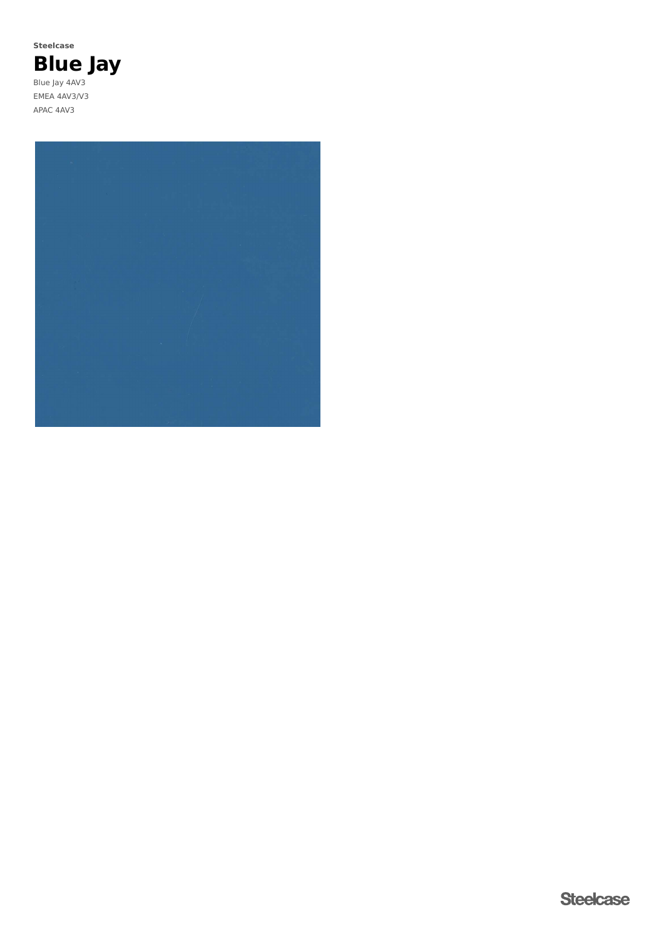**Blue Jay** Blue Jay 4AV3 EMEA 4AV3/V3 APAC 4AV3 **Steelcase**

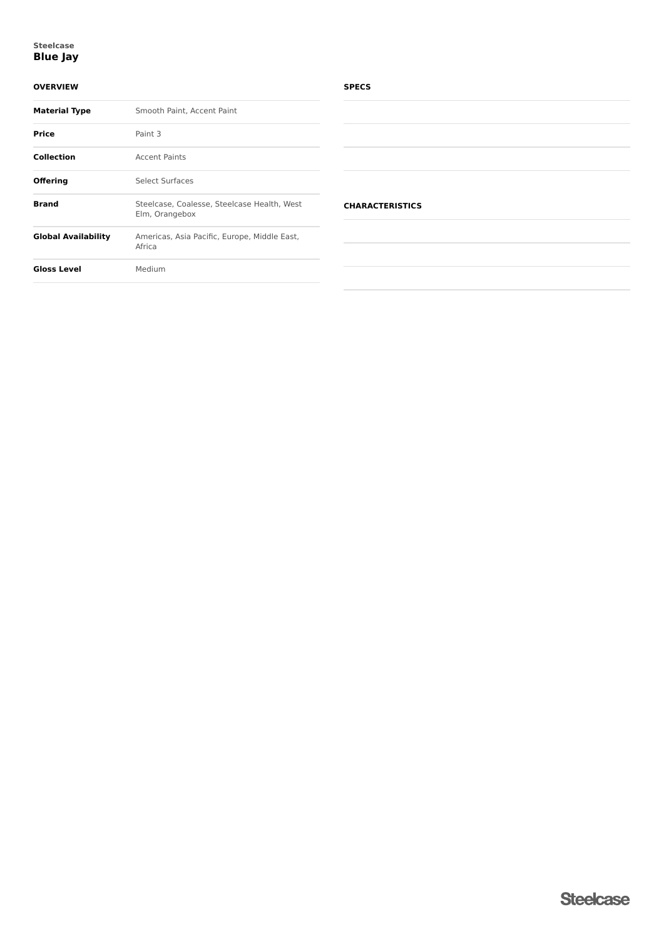## **Blue Jay Steelcase**

## **OVERVIEW**

| <b>Material Type</b>       | Smooth Paint, Accent Paint                                    |  |  |
|----------------------------|---------------------------------------------------------------|--|--|
| Price                      | Paint 3                                                       |  |  |
| <b>Collection</b>          | <b>Accent Paints</b>                                          |  |  |
| <b>Offering</b>            | Select Surfaces                                               |  |  |
| <b>Brand</b>               | Steelcase, Coalesse, Steelcase Health, West<br>Elm, Orangebox |  |  |
| <b>Global Availability</b> | Americas, Asia Pacific, Europe, Middle East,<br>Africa        |  |  |
| <b>Gloss Level</b>         | Medium                                                        |  |  |
|                            |                                                               |  |  |

### **SPECS**

| <b>CHARACTERISTICS</b> |  |  |
|------------------------|--|--|